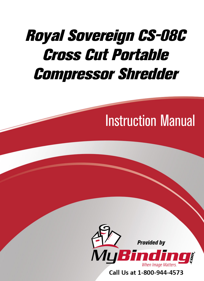# [Royal Sovereign CS-08C](https://www.mybinding.com/royal-sovereign-cs-08c-cross-cut-portable-compressor-shredder.html)  Cross Cut Portable Compressor Shredder

# Instruction Manual



Call Us at 1-800-944-4573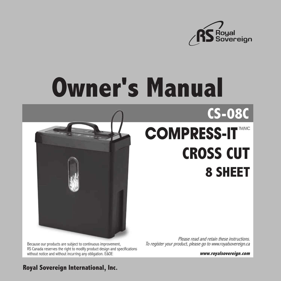

# **Owner's Manual**



Because our products are subject to continuous improvement, RS Canada reserves the right to modify product design and specifications without notice and without incurring any obligation. E&OE

# **COMPRESS-IT CROSS CUT 8 SHEET**

Please read and retain these instructions. To register your product, please go to www.royalsovereign.ca

**www.royalsovereign.com**

### **Royal Sovereign International, Inc.**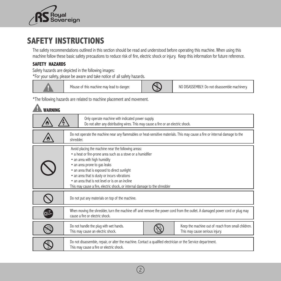

# **SAFETY INSTRUCTIONS**

The safety recommendations outlined in this section should be read and understood before operating this machine. When using this machine follow these basic safety precautions to reduce risk of fire, electric shock or injury. Keep this information for future reference.

#### **SAFETY HAZARDS**

Safety hazards are depicted in the following images:

\*For your safety, please be aware and take notice of all safety hazards.



| Only operate machine with indicated power supply.<br>Do not alter any distributing wires. This may cause a fire or an electric shock.                                                                                                                                                                                                                                                                              |                                                                                                                                                                     |  |
|--------------------------------------------------------------------------------------------------------------------------------------------------------------------------------------------------------------------------------------------------------------------------------------------------------------------------------------------------------------------------------------------------------------------|---------------------------------------------------------------------------------------------------------------------------------------------------------------------|--|
| Do not operate the machine near any flammables or heat-sensitive materials. This may cause a fire or internal damage to the<br>shredder.                                                                                                                                                                                                                                                                           |                                                                                                                                                                     |  |
| Avoid placing the machine near the following areas:<br>• a heat or fire-prone area such as a stove or a humidifier<br>• an area with high humidity<br>• an area prone to gas leaks<br>• an area that is exposed to direct sunlight<br>• an area that is dusty or incurs vibrations<br>• an area that is not level or is on an incline<br>This may cause a fire, electric shock, or internal damage to the shredder |                                                                                                                                                                     |  |
|                                                                                                                                                                                                                                                                                                                                                                                                                    | Do not put any materials on top of the machine.                                                                                                                     |  |
| © ‡                                                                                                                                                                                                                                                                                                                                                                                                                | When moving the shredder, turn the machine off and remove the power cord from the outlet. A damaged power cord or plug may<br>cause a fire or electric shock.       |  |
|                                                                                                                                                                                                                                                                                                                                                                                                                    | Keep the machine out of reach from small children.<br>Do not handle the plug with wet hands.<br>This may cause an electric shock.<br>This may cause serious injury. |  |
|                                                                                                                                                                                                                                                                                                                                                                                                                    | Do not disassemble, repair, or alter the machine. Contact a qualified electrician or the Service department.<br>This may cause a fire or electric shock.            |  |

 $\left[2\right]$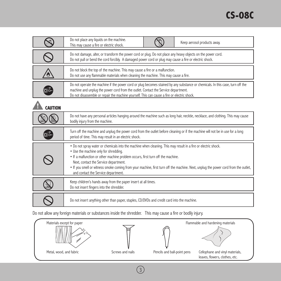|                | Do not place any liquids on the machine.<br>Keep aerosol products away.<br>This may cause a fire or electric shock.                                                                                                                                                                                                                                                                                                                                              |  |
|----------------|------------------------------------------------------------------------------------------------------------------------------------------------------------------------------------------------------------------------------------------------------------------------------------------------------------------------------------------------------------------------------------------------------------------------------------------------------------------|--|
|                | Do not damage, alter, or transform the power cord or plug. Do not place any heavy objects on the power cord.<br>Do not pull or bend the cord forcibly. A damaged power cord or plug may cause a fire or electric shock.                                                                                                                                                                                                                                          |  |
|                | Do not block the top of the machine. This may cause a fire or a malfunction.<br>Do not use any flammable materials when cleaning the machine. This may cause a fire.                                                                                                                                                                                                                                                                                             |  |
|                | Do not operate the machine if the power cord or plug becomes stained by any substance or chemicals. In this case, turn off the<br>machine and unplug the power cord from the outlet. Contact the Service department.<br>Do not disassemble or repair the machine yourself. This can cause a fire or electric shock.                                                                                                                                              |  |
| <b>CAUTION</b> |                                                                                                                                                                                                                                                                                                                                                                                                                                                                  |  |
|                | Do not have any personal articles hanging around the machine such as long hair, necktie, necklace, and clothing. This may cause<br>bodily injury from the machine.                                                                                                                                                                                                                                                                                               |  |
|                | Turn off the machine and unplug the power cord from the outlet before cleaning or if the machine will not be in use for a long<br>period of time. This may result in an electric shock.                                                                                                                                                                                                                                                                          |  |
|                | • Do not spray water or chemicals into the machine when cleaning. This may result in a fire or electric shock.<br>• Use the machine only for shredding.<br>• If a malfunction or other machine problem occurs, first turn off the machine.<br>Next, contact the Service department.<br>. If you smell or witness smoke coming from your machine, first turn off the machine. Next, unplug the power cord from the outlet,<br>and contact the Service department. |  |
|                | Keep children's hands away from the paper insert at all times.<br>Do not insert fingers into the shredder.                                                                                                                                                                                                                                                                                                                                                       |  |
|                | Do not insert anything other than paper, staples, CD/DVDs and credit card into the machine.                                                                                                                                                                                                                                                                                                                                                                      |  |

Do not allow any foreign materials or substances inside the shredder. This may cause a fire or bodily injury.

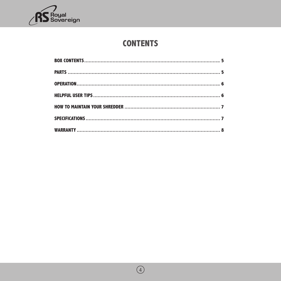

# **CONTENTS**

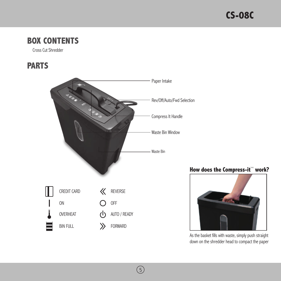# **BOX CONTENTS**

Cross Cut Shredder

# **PARTS**



 $\circledS$ 

How does the Compress-it<sup>\*\*</sup> work?



As the basket fills with waste, simply push straight down on the shredder head to compact the paper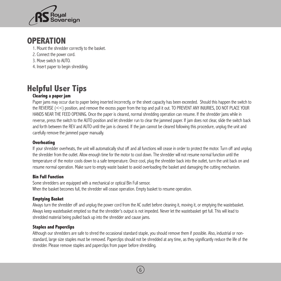

# **OPERATION**

- 1. Mount the shredder correctly to the basket.
- 2. Connect the power cord.
- 3. Move switch to AUTO.
- 4. Insert paper to begin shredding.

# **Helpful User Tips**

#### **Clearing a paper jam**

Paper jams may occur due to paper being inserted incorrectly, or the sheet capacity has been exceeded. Should this happen the switch to the REVERSE (<<) position, and remove the excess paper from the top and pull it out. TO PREVENT ANY INJURIES, DO NOT PLACE YOUR HANDS NEAR THE FEED OPENING. Once the paper is cleared, normal shredding operation can resume. If the shredder jams while in reverse, press the switch to the AUTO position and let shredder run to clear the jammed paper. If jam does not clear, slide the switch back and forth between the REV and AUTO until the jam is cleared. If the jam cannot be cleared following this procedure, unplug the unit and carefully remove the jammed paper manually.

#### **Overheating**

If your shredder overheats, the unit will automatically shut off and all functions will cease in order to protect the motor. Turn off and unplug the shredder from the outlet. Allow enough time for the motor to cool down. The shredder will not resume normal function until the temperature of the motor cools down to a safe temperature. Once cool, plug the shredder back into the outlet, turn the unit back on and resume normal operation. Make sure to empty waste basket to avoid overloading the basket and damaging the cutting mechanism.

#### **Bin Full Function**

Some shredders are equipped with a mechanical or optical Bin Full sensor. When the basket becomes full, the shredder will cease operation. Empty basket to resume operation.

#### **Emptying Basket**

Always turn the shredder off and unplug the power cord from the AC outlet before cleaning it, moving it, or emptying the wastebasket. Always keep wastebasket emptied so that the shredder's output is not impeded. Never let the wastebasket get full. This will lead to shredded material being pulled back up into the shredder and cause jams.

#### **Staples and Paperclips**

Although our shredders are safe to shred the occasional standard staple, you should remove them if possible. Also, industrial or nonstandard, large size staples must be removed. Paperclips should not be shredded at any time, as they significantly reduce the life of the shredder. Please remove staples and paperclips from paper before shredding.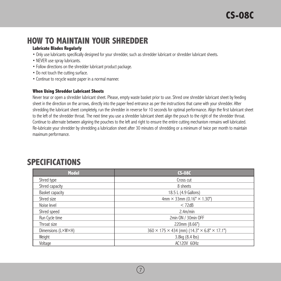# **How To Maintain Your Shredder**

#### **Lubricate Blades Regularly**

- Only use lubricants specifically designed for your shredder, such as shredder lubricant or shredder lubricant sheets.
- NEVER use spray lubricants.
- Follow directions on the shredder lubricant product package.
- Do not touch the cutting surface.
- Continue to recycle waste paper in a normal manner.

#### **When Using Shredder Lubricant Sheets**

Never tear or open a shredder lubricant sheet. Please, empty waste basket prior to use. Shred one shredder lubricant sheet by feeding sheet in the direction on the arrows, directly into the paper feed entrance as per the instructions that came with your shredder. After shredding the lubricant sheet completely, run the shredder in reverse for 10 seconds for optimal performance. Align the first lubricant sheet to the left of the shredder throat. The next time you use a shredder lubricant sheet align the pouch to the right of the shredder throat. Continue to alternate between aligning the pouches to the left and right to ensure the entire cutting mechanism remains well lubricated. Re-lubricate your shredder by shredding a lubrication sheet after 30 minutes of shredding or a minimum of twice per month to maintain maximum performance.

# **SPECIFICATIONS**

| <b>Model</b>       | <b>CS-08C</b>                                                       |
|--------------------|---------------------------------------------------------------------|
| Shred type         | Cross cut                                                           |
| Shred capacity     | 8 sheets                                                            |
| Basket capacity    | 18.5 L (4.9 Gallons)                                                |
| Shred size         | 4mm $\times$ 33mm (0.16" $\times$ 1.30")                            |
| Noise level        | < 72dB                                                              |
| Shred speed        | 2.4m/min                                                            |
| Run Cycle time     | 2min ON / 30min OFF                                                 |
| Throat size        | 220mm (8.66")                                                       |
| Dimensions (L×W×H) | $360 \times 175 \times 434$ (mm) $(14.3" \times 6.8" \times 17.1")$ |
| Weight             | 3.8kg (8.4 lbs)                                                     |
| Voltage            | AC120V 60Hz                                                         |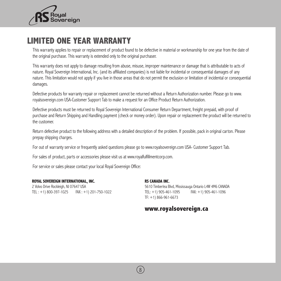

# **LIMITED ONE YEAR WARRANTY**

This warranty applies to repair or replacement of product found to be defective in material or workmanship for one year from the date of the original purchase. This warranty is extended only to the original purchaser.

This warranty does not apply to damage resulting from abuse, misuse, improper maintenance or damage that is attributable to acts of nature. Royal Sovereign International, Inc. (and its affiliated companies) is not liable for incidental or consequential damages of any nature. This limitation would not apply if you live in those areas that do not permit the exclusion or limitation of incidental or consequential damages.

Defective products for warranty repair or replacement cannot be returned without a Return Authorization number. Please go to www. royalsovereign.com USA-Customer Support Tab to make a request for an Office Product Return Authorization.

Defective products must be returned to Royal Sovereign International Consumer Return Department, freight prepaid, with proof of purchase and Return Shipping and Handling payment (check or money order). Upon repair or replacement the product will be returned to the customer.

Return defective product to the following address with a detailed description of the problem. If possible, pack in original carton. Please prepay shipping charges.

For out of warranty service or frequently asked questions please go to www.royalsovereign.com USA- Customer Support Tab.

For sales of product, parts or accessories please visit us at www.royalfulfillmentcorp.com.

For service or sales please contact your local Royal Sovereign Office:

#### **ROYAL SOVEREIGN INTERNATIONAL, INC.**

2 Volvo Drive Rockleigh, NJ 07647 USA TEL : +1) 800-397-1025 FAX : +1) 201-750-1022

#### **RS CANADA INC.**

5610 Timberlea Blvd, Mississauga Ontario L4W 4M6 CANADA TEL: +1) 905-461-1095 FAX: +1) 905-461-1096 TF: +1) 866-961-6673

### **www.royalsovereign.ca**

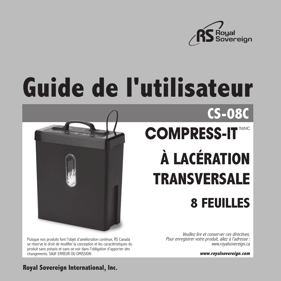

# **Guide de l'utilisateur**

![](_page_9_Picture_2.jpeg)

**CS-08C COMPRESS-IT À LACÉRATION TRANSVERSALE 8 FEUILLES**

Puisque nos produits font l'objet d'amélioration continue, RS Canada se réserve le droit de modifier la conception et les caractéristiques du produit sans préavis et sans se voir dans l'obligation d'apporter des changements. SAUF ERREUR OU OMISSION

Veuillez lire et conserver ces directives. Pour enregistrer votre produit, allez à l'adresse : www.royalsovereign.ca

**www.royalsovereign.com**

### **Royal Sovereign International, Inc.**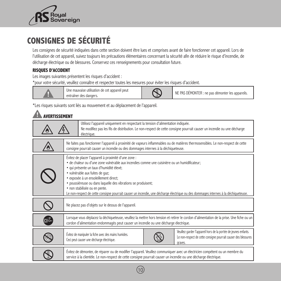![](_page_10_Picture_0.jpeg)

# **CONSIGNES DE SÉCURITÉ**

Les consignes de sécurité indiquées dans cette section doivent être lues et comprises avant de faire fonctionner cet appareil. Lors de l'utilisation de cet appareil, suivez toujours les précautions élémentaires concernant la sécurité afin de réduire le risque d'incendie, de décharge électrique ou de blessures. Conservez ces renseignements pour consultation future.

#### **RISQUES D'ACCIDENT**

Les images suivantes présentent les risques d'accident :

\*pour votre sécurité, veuillez connaître et respecter toutes les mesures pour éviter les risques d'accident.

![](_page_10_Picture_6.jpeg)

Une mauvaise utilisation de cet appareil peut Une mauvaise utilisation de cet appareil peut<br>
entraîner des dangers.<br>
NE PAS DÉMONTER : ne pas démonter les appareils.

\*Les risques suivants sont liés au mouvement et au déplacement de l'appareil.

## **AVERTISSEMENT**

|                                                                                                                                                                                                                                                                                                                                                                                                                                                                                                                        | Utilisez l'appareil uniquement en respectant la tension d'alimentation indiquée.<br>Ne modifiez pas les fils de distribution. Le non-respect de cette consigne pourrait causer un incendie ou une décharge<br>électrique.                         |  |
|------------------------------------------------------------------------------------------------------------------------------------------------------------------------------------------------------------------------------------------------------------------------------------------------------------------------------------------------------------------------------------------------------------------------------------------------------------------------------------------------------------------------|---------------------------------------------------------------------------------------------------------------------------------------------------------------------------------------------------------------------------------------------------|--|
|                                                                                                                                                                                                                                                                                                                                                                                                                                                                                                                        | Ne faites pas fonctionner l'appareil à proximité de vapeurs inflammables ou de matières thermosensibles. Le non-respect de cette<br>consigne pourrait causer un incendie ou des dommages internes à la déchiqueteuse.                             |  |
| Évitez de placer l'appareil à proximité d'une zone :<br>• de chaleur ou d'une zone vulnérable aux incendies comme une cuisinière ou un humidificateur;<br>· qui présente un taux d'humidité élevé;<br>• vulnérable aux fuites de gaz;<br>· exposée à un ensoleillement direct;<br>· poussiéreuse ou dans laquelle des vibrations se produisent;<br>· non stabilisée ou en pente.<br>Le non-respect de cette consigne pourrait causer un incendie, une décharge électrique ou des dommages internes à la déchiqueteuse. |                                                                                                                                                                                                                                                   |  |
|                                                                                                                                                                                                                                                                                                                                                                                                                                                                                                                        | Ne placez pas d'objets sur le dessus de l'appareil.                                                                                                                                                                                               |  |
| ⊚⊋                                                                                                                                                                                                                                                                                                                                                                                                                                                                                                                     | Lorsque vous déplacez la déchiqueteuse, veuillez la mettre hors tension et retirer le cordon d'alimentation de la prise. Une fiche ou un<br>cordon d'alimentation endommagés peut causer un incendie ou une décharge électrique.                  |  |
|                                                                                                                                                                                                                                                                                                                                                                                                                                                                                                                        | Veuillez garder l'appareil hors de la portée de jeunes enfants.<br>Évitez de manipuler la fiche avec des mains humides.<br>Le non-respect de cette consigne pourrait causer des blessures<br>Ceci peut causer une décharge électrique.<br>graves. |  |
|                                                                                                                                                                                                                                                                                                                                                                                                                                                                                                                        | Évitez de démonter, de réparer ou de modifier l'appareil. Veuillez communiquer avec un électricien compétent ou un membre du<br>service à la clientèle. Le non-respect de cette consigne pourrait causer un incendie ou une décharge électrique.  |  |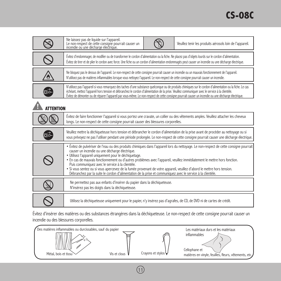|                 | Ne laissez pas de liquide sur l'appareil.<br>Le non-respect de cette consigne pourrait causer un<br>incendie ou une décharge électrique.<br>Veuillez tenir les produits aérosols loin de l'appareil.                                                                                                                                                                                                                                                                                                                                                                                                                                                                          |  |
|-----------------|-------------------------------------------------------------------------------------------------------------------------------------------------------------------------------------------------------------------------------------------------------------------------------------------------------------------------------------------------------------------------------------------------------------------------------------------------------------------------------------------------------------------------------------------------------------------------------------------------------------------------------------------------------------------------------|--|
|                 | Évitez d'endommager, de modifier ou de transformer le cordon d'alimentation ou la fiche. Ne placez pas d'objets lourds sur le cordon d'alimentation.<br>Évitez de tirer et de plier le cordon avec force. Une fiche ou un cordon d'alimentation endommagés peut causer un incendie ou une décharge électrique.                                                                                                                                                                                                                                                                                                                                                                |  |
|                 | Ne bloquez pas le dessus de l'appareil. Le non-respect de cette consigne pourrait causer un incendie ou un mauvais fonctionnement de l'appareil.<br>N'utilisez pas de matières inflammables lorsque vous nettoyez l'appareil. Le non-respect de cette consigne pourrait causer un incendie.                                                                                                                                                                                                                                                                                                                                                                                   |  |
| ⊡ত              | N'utilisez pas l'appareil si vous remarquez des taches d'une substance quelconque ou de produits chimiques sur le cordon d'alimentation ou la fiche. Le cas<br>échéant, mettez l'appareil hors tension et débranchez le cordon d'alimentation de la prise. Veuillez communiquer avec le service à la clientèle.<br>Évitez de démonter ou de réparer l'appareil par vous-même. Le non-respect de cette consigne pourrait causer un incendie ou une décharge électrique.                                                                                                                                                                                                        |  |
| <b>TTENTION</b> |                                                                                                                                                                                                                                                                                                                                                                                                                                                                                                                                                                                                                                                                               |  |
|                 | Évitez de faire fonctionner l'appareil si vous portez une cravate, un collier ou des vêtements amples. Veuillez attacher les cheveux<br>longs. Le non-respect de cette consigne pourrait causer des blessures corporelles.                                                                                                                                                                                                                                                                                                                                                                                                                                                    |  |
| ©⊅              | Veuillez mettre la déchiqueteuse hors tension et débrancher le cordon d'alimentation de la prise avant de procéder au nettoyage ou si<br>vous prévoyez ne pas l'utiliser pendant une période prolongée. Le non-respect de cette consigne pourrait causer une décharge électrique.                                                                                                                                                                                                                                                                                                                                                                                             |  |
|                 | • Évitez de pulvériser de l'eau ou des produits chimiques dans l'appareil lors du nettoyage. Le non-respect de cette consigne pourrait<br>causer un incendie ou une décharge électrique.<br>· Utilisez l'appareil uniquement pour le déchiquetage.<br>· En cas de mauvais fonctionnement ou d'autres problèmes avec l'appareil, veuillez immédiatement le mettre hors fonction.<br>Puis communiquez avec le service à la clientèle.<br>· Si vous sentez ou si vous apercevez de la fumée provenant de votre appareil, veuillez d'abord le mettre hors tension.<br>Débranchez par la suite le cordon d'alimentation de la prise et communiquez avec le service à la clientèle. |  |
|                 | Ne permettez pas aux enfants d'insérer du papier dans la déchiqueteuse.<br>N'insérez pas les doigts dans la déchiqueteuse.                                                                                                                                                                                                                                                                                                                                                                                                                                                                                                                                                    |  |
|                 | Utilisez la déchiqueteuse uniquement pour le papier, n'y insérez pas d'agrafes, de CD, de DVD ni de cartes de crédit.                                                                                                                                                                                                                                                                                                                                                                                                                                                                                                                                                         |  |

Évitez d'insérer des matières ou des substances étrangères dans la déchiqueteuse. Le non-respect de cette consigne pourrait causer un incendie ou des blessures corporelles.

![](_page_11_Figure_3.jpeg)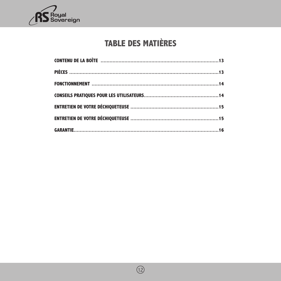![](_page_12_Picture_0.jpeg)

# **TABLE DES MATIÈRES**

![](_page_12_Picture_3.jpeg)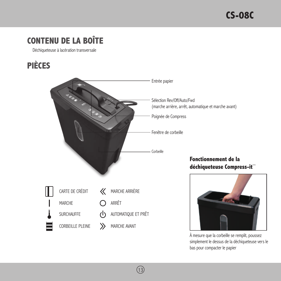# **CONTENU DE LA BOÎTE**

Déchiqueteuse à lacération transversale

# **PIÈCES**

![](_page_13_Picture_4.jpeg)

 $(13)$ 

À mesure que la corbeille se remplit, poussez simplement le dessus de la déchiqueteuse vers le bas pour compacter le papier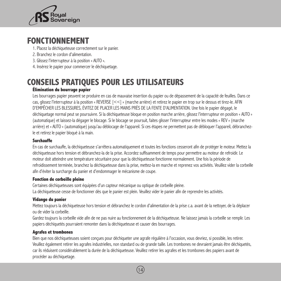![](_page_14_Picture_0.jpeg)

# **FONCTIONNEMENT**

- 1. Placez la déchiqueteuse correctement sur le panier.
- 2. Branchez le cordon d'alimentation.
- 3. Glissez l'interrupteur à la position « AUTO ».
- 4. Insérez le papier pour commercer le déchiquetage.

# **Conseils pratiques pour les utilisateurs**

#### **Élimination du bourrage papier**

Les bourrages papier peuvent se produire en cas de mauvaise insertion du papier ou de dépassement de la capacité de feuilles. Dans ce cas, glissez l'interrupteur à la position « REVERSE [<<] » (marche arrière) et retirez le papier en trop sur le dessus et tirez-le. AFIN D'EMPÊCHER LES BLESSURES, ÉVITEZ DE PLACER LES MAINS PRÈS DE LA FENTE D'ALIMENTATION. Une fois le papier dégagé, le déchiquetage normal peut se poursuivre. Si la déchiqueteuse bloque en position marche arrière, glissez l'interrupteur en position « AUTO » (automatique) et laissez-la dégager le blocage. Si le blocage se poursuit, faites glisser l'interrupteur entre les modes « REV » (marche arrière) et « AUTO » (automatique) jusqu'au déblocage de l'appareil. Si ces étapes ne permettent pas de débloquer l'appareil, débranchezle et retirez le papier bloqué à la main.

#### **Surchauffe**

En cas de surchauffe, la déchiqueteuse s'arrêtera automatiquement et toutes les fonctions cesseront afin de protéger le moteur. Mettez la déchiqueteuse hors tension et débranchez-la de la prise. Accordez suffisamment de temps pour permettre au moteur de refroidir. Le moteur doit atteindre une température sécuritaire pour que la déchiqueteuse fonctionne normalement. Une fois la période de refroidissement terminée, branchez la déchiqueteuse dans la prise, mettez-la en marche et reprenez vos activités. Veuillez vider la corbeille afin d'éviter la surcharge du panier et d'endommager le mécanisme de coupe.

#### **Fonction de corbeille pleine**

Certaines déchiqueteuses sont équipées d'un capteur mécanique ou optique de corbeille pleine. La déchiqueteuse cesse de fonctionner dès que le panier est plein. Veuillez vider le panier afin de reprendre les activités.

#### **Vidange du panier**

Mettez toujours la déchiqueteuse hors tension et débranchez le cordon d'alimentation de la prise c.a. avant de la nettoyer, de la déplacer ou de vider la corbeille.

Gardez toujours la corbeille vide afin de ne pas nuire au fonctionnement de la déchiqueteuse. Ne laissez jamais la corbeille se remplir. Les papiers déchiquetés pourraient remonter dans la déchiqueteuse et causer des bourrages.

#### **Agrafes et trombones**

Bien que nos déchiqueteuses soient conçues pour déchiqueter une agrafe régulière à l'occasion, vous devriez, si possible, les retirer. Veuillez également retirer les agrafes industrielles, non standard ou de grande taille. Les trombones ne devraient jamais être déchiquetés, car ils réduisent considérablement la durée de la déchiqueteuse. Veuillez retirer les agrafes et les trombones des papiers avant de procéder au déchiquetage.

![](_page_14_Picture_18.jpeg)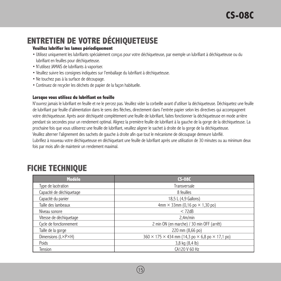# **Entretien de votre déchiqueteuse**

#### **Veuillez lubrifier les lames périodiquement**

- Utilisez uniquement les lubrifiants spécialement conçus pour votre déchiqueteuse, par exemple un lubrifiant à déchiqueteuse ou du lubrifiant en feuilles pour déchiqueteuse.
- N'utilisez JAMAIS de lubrifiants à vaporiser.
- Veuillez suivre les consignes indiquées sur l'emballage du lubrifiant à déchiqueteuse.
- Ne touchez pas à la surface de découpage.
- Continuez de recycler les déchets de papier de la façon habituelle.

#### **Lorsque vous utilisez du lubrifiant en feuille**

N'ouvrez jamais le lubrifiant en feuille et ne le percez pas. Veuillez vider la corbeille avant d'utiliser la déchiqueteuse. Déchiquetez une feuille de lubrifiant par feuille d'alimentation dans le sens des flèches, directement dans l'entrée papier selon les directives qui accompagnent votre déchiqueteuse. Après avoir déchiqueté complètement une feuille de lubrifiant, faites fonctionner la déchiqueteuse en mode arrière pendant six secondes pour un rendement optimal. Alignez la première feuille de lubrifiant à la gauche de la gorge de la déchiqueteuse. La prochaine fois que vous utiliserez une feuille de lubrifiant, veuillez aligner le sachet à droite de la gorge de la déchiqueteuse. Veuillez alterner l'alignement des sachets de gauche à droite afin que tout le mécanisme de découpage demeure lubrifié. Lubrifiez à nouveau votre déchiqueteuse en déchiquetant une feuille de lubrifiant après une utilisation de 30 minutes ou au minimum deux fois par mois afin de maintenir un rendement maximal.

# **FICHE TECHNIQUE**

| <b>Modèle</b>            | <b>CS-08C</b>                                                             |
|--------------------------|---------------------------------------------------------------------------|
| Type de lacération       | Transversale                                                              |
| Capacité de déchiquetage | 8 feuilles                                                                |
| Capacité du panier       | 18,5 L (4,9 Gallons)                                                      |
| Taille des lambeaux      | 4mm $\times$ 33mm (0,16 po $\times$ 1,30 po)                              |
| Niveau sonore            | $<$ 72dB                                                                  |
| Vitesse de déchiquetage  | 2,4m/min                                                                  |
| Cycle de fonctionnement  | 2 min ON (en marche) / 30 min OFF (arrêt)                                 |
| Taille de la gorge       | 220 mm (8,66 po)                                                          |
| Dimensions (L×P×H)       | $360 \times 175 \times 434$ mm (14,3 po $\times$ 6,8 po $\times$ 17,1 po) |
| Poids                    | 3,8 kg (8,4 lb)                                                           |
| Tension                  | CA120 V 60 Hz                                                             |

![](_page_15_Picture_12.jpeg)